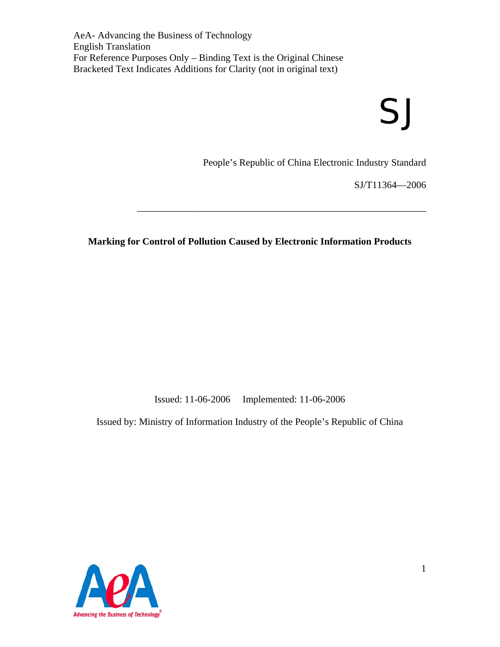# SJ

People's Republic of China Electronic Industry Standard

SJ/T11364—2006

**Marking for Control of Pollution Caused by Electronic Information Products** 

\_\_\_\_\_\_\_\_\_\_\_\_\_\_\_\_\_\_\_\_\_\_\_\_\_\_\_\_\_\_\_\_\_\_\_\_\_\_\_\_\_\_\_\_\_\_\_\_\_\_\_\_\_\_\_\_\_\_\_

Issued: 11-06-2006 Implemented: 11-06-2006

Issued by: Ministry of Information Industry of the People's Republic of China

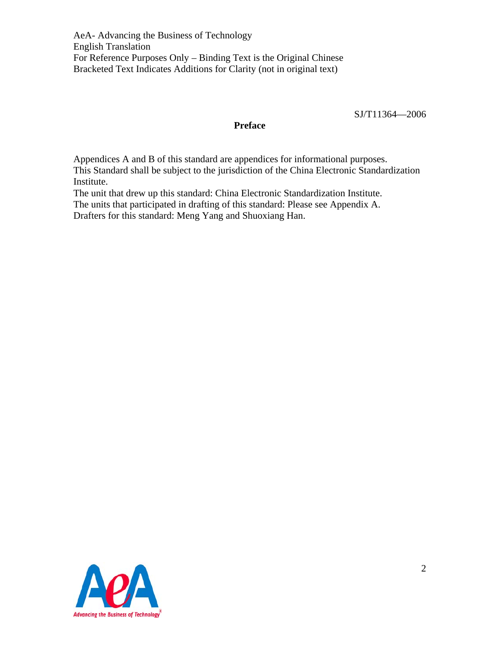SJ/T11364—2006

## **Preface**

Appendices A and B of this standard are appendices for informational purposes. This Standard shall be subject to the jurisdiction of the China Electronic Standardization Institute.

The unit that drew up this standard: China Electronic Standardization Institute.

The units that participated in drafting of this standard: Please see Appendix A. Drafters for this standard: Meng Yang and Shuoxiang Han.

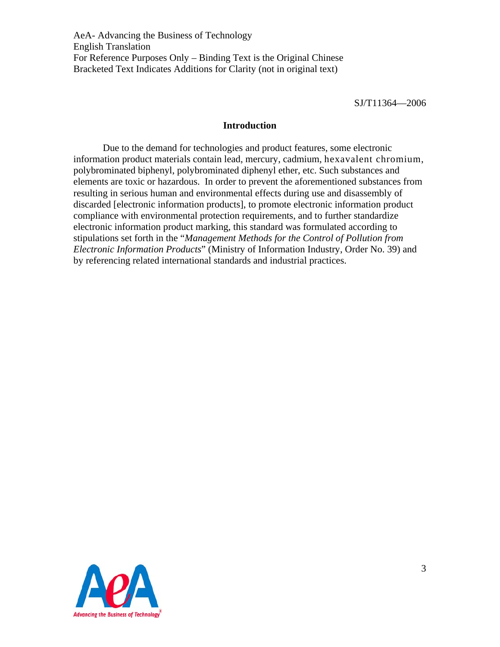SJ/T11364—2006

#### **Introduction**

 Due to the demand for technologies and product features, some electronic information product materials contain lead, mercury, cadmium, hexavalent chromium, polybrominated biphenyl, polybrominated diphenyl ether, etc. Such substances and elements are toxic or hazardous. In order to prevent the aforementioned substances from resulting in serious human and environmental effects during use and disassembly of discarded [electronic information products], to promote electronic information product compliance with environmental protection requirements, and to further standardize electronic information product marking, this standard was formulated according to stipulations set forth in the "*Management Methods for the Control of Pollution from Electronic Information Products*" (Ministry of Information Industry, Order No. 39) and by referencing related international standards and industrial practices.

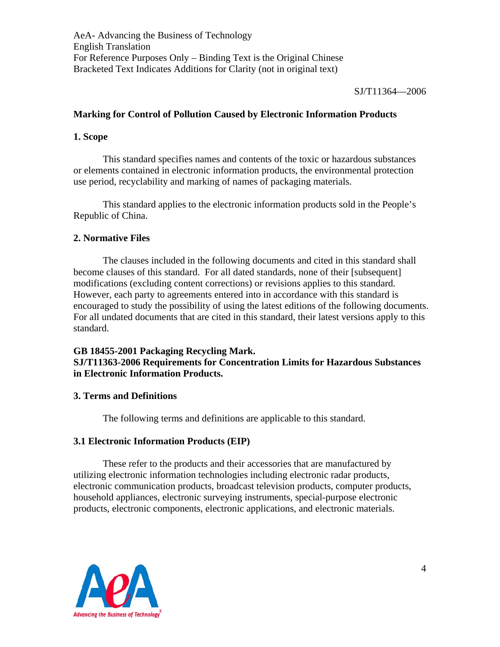SJ/T11364—2006

## **Marking for Control of Pollution Caused by Electronic Information Products**

## **1. Scope**

This standard specifies names and contents of the toxic or hazardous substances or elements contained in electronic information products, the environmental protection use period, recyclability and marking of names of packaging materials.

This standard applies to the electronic information products sold in the People's Republic of China.

## **2. Normative Files**

 The clauses included in the following documents and cited in this standard shall become clauses of this standard. For all dated standards, none of their [subsequent] modifications (excluding content corrections) or revisions applies to this standard. However, each party to agreements entered into in accordance with this standard is encouraged to study the possibility of using the latest editions of the following documents. For all undated documents that are cited in this standard, their latest versions apply to this standard.

## **GB 18455-2001 Packaging Recycling Mark. SJ/T11363-2006 Requirements for Concentration Limits for Hazardous Substances in Electronic Information Products.**

## **3. Terms and Definitions**

The following terms and definitions are applicable to this standard.

## **3.1 Electronic Information Products (EIP)**

 These refer to the products and their accessories that are manufactured by utilizing electronic information technologies including electronic radar products, electronic communication products, broadcast television products, computer products, household appliances, electronic surveying instruments, special-purpose electronic products, electronic components, electronic applications, and electronic materials.

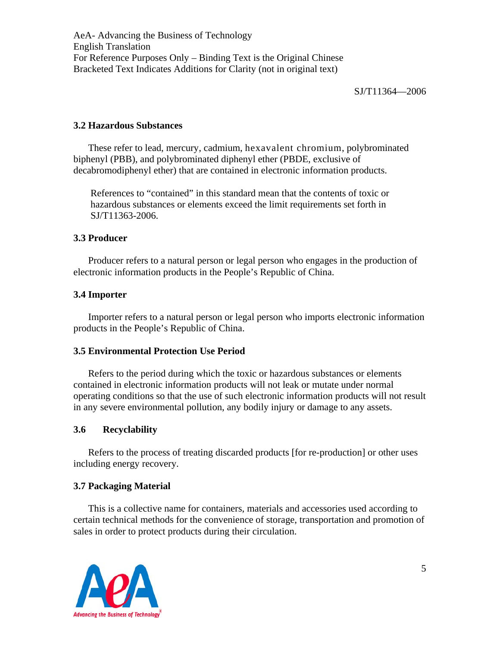## **3.2 Hazardous Substances**

These refer to lead, mercury, cadmium, hexavalent chromium, polybrominated biphenyl (PBB), and polybrominated diphenyl ether (PBDE, exclusive of decabromodiphenyl ether) that are contained in electronic information products.

References to "contained" in this standard mean that the contents of toxic or hazardous substances or elements exceed the limit requirements set forth in SJ/T11363-2006.

## **3.3 Producer**

Producer refers to a natural person or legal person who engages in the production of electronic information products in the People's Republic of China.

## **3.4 Importer**

Importer refers to a natural person or legal person who imports electronic information products in the People's Republic of China.

## **3.5 Environmental Protection Use Period**

Refers to the period during which the toxic or hazardous substances or elements contained in electronic information products will not leak or mutate under normal operating conditions so that the use of such electronic information products will not result in any severe environmental pollution, any bodily injury or damage to any assets.

## **3.6 Recyclability**

Refers to the process of treating discarded products [for re-production] or other uses including energy recovery.

## **3.7 Packaging Material**

This is a collective name for containers, materials and accessories used according to certain technical methods for the convenience of storage, transportation and promotion of sales in order to protect products during their circulation.

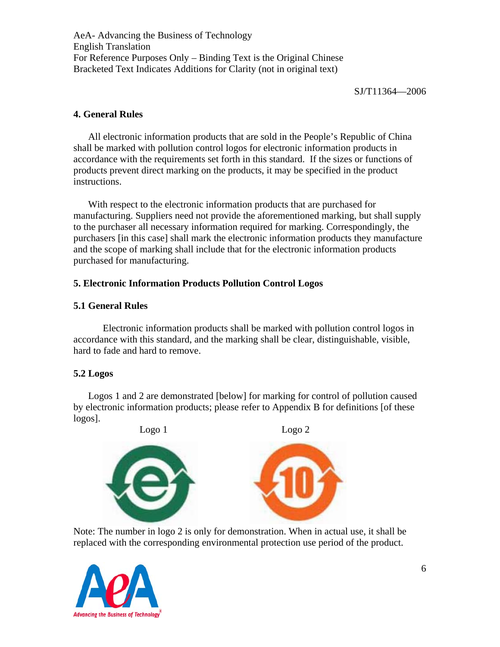SJ/T11364—2006

## **4. General Rules**

All electronic information products that are sold in the People's Republic of China shall be marked with pollution control logos for electronic information products in accordance with the requirements set forth in this standard. If the sizes or functions of products prevent direct marking on the products, it may be specified in the product instructions.

With respect to the electronic information products that are purchased for manufacturing. Suppliers need not provide the aforementioned marking, but shall supply to the purchaser all necessary information required for marking. Correspondingly, the purchasers [in this case] shall mark the electronic information products they manufacture and the scope of marking shall include that for the electronic information products purchased for manufacturing.

## **5. Electronic Information Products Pollution Control Logos**

## **5.1 General Rules**

 Electronic information products shall be marked with pollution control logos in accordance with this standard, and the marking shall be clear, distinguishable, visible, hard to fade and hard to remove.

## **5.2 Logos**

Logos 1 and 2 are demonstrated [below] for marking for control of pollution caused by electronic information products; please refer to Appendix B for definitions [of these logos].



Note: The number in logo 2 is only for demonstration. When in actual use, it shall be replaced with the corresponding environmental protection use period of the product.

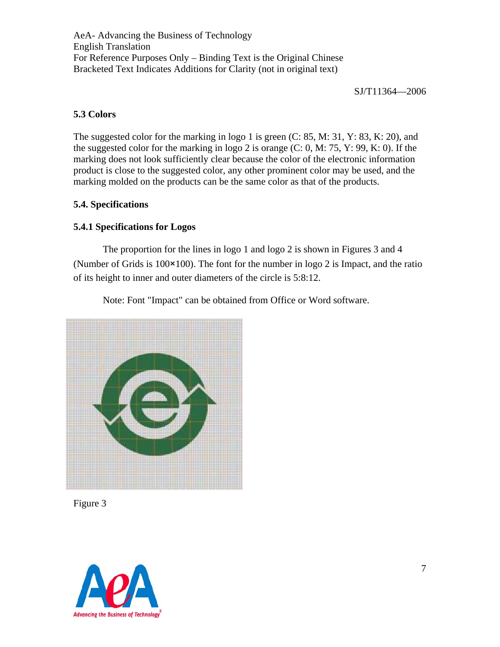SJ/T11364—2006

## **5.3 Colors**

The suggested color for the marking in logo 1 is green (C: 85, M: 31, Y: 83, K: 20), and the suggested color for the marking in logo 2 is orange  $(C: 0, M: 75, Y: 99, K: 0)$ . If the marking does not look sufficiently clear because the color of the electronic information product is close to the suggested color, any other prominent color may be used, and the marking molded on the products can be the same color as that of the products.

## **5.4. Specifications**

## **5.4.1 Specifications for Logos**

 The proportion for the lines in logo 1 and logo 2 is shown in Figures 3 and 4 (Number of Grids is 100×100). The font for the number in logo 2 is Impact, and the ratio of its height to inner and outer diameters of the circle is 5:8:12.

Note: Font "Impact" can be obtained from Office or Word software.



Figure 3

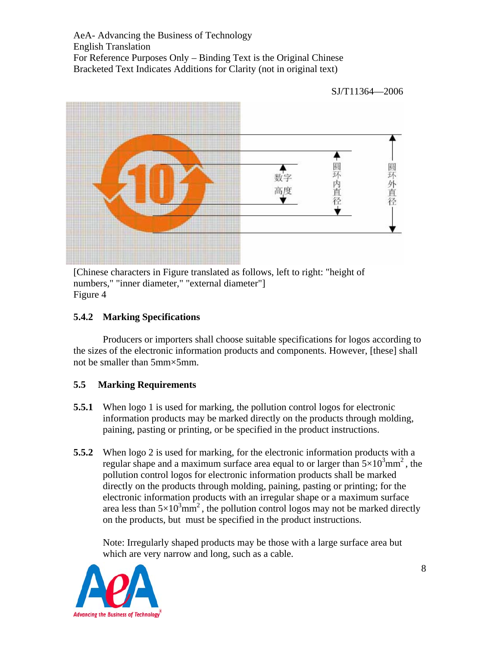

[Chinese characters in Figure translated as follows, left to right: "height of numbers," "inner diameter," "external diameter"] Figure 4

# **5.4.2 Marking Specifications**

 Producers or importers shall choose suitable specifications for logos according to the sizes of the electronic information products and components. However, [these] shall not be smaller than 5mm×5mm.

# **5.5 Marking Requirements**

- **5.5.1** When logo 1 is used for marking, the pollution control logos for electronic information products may be marked directly on the products through molding, paining, pasting or printing, or be specified in the product instructions.
- **5.5.2** When logo 2 is used for marking, for the electronic information products with a regular shape and a maximum surface area equal to or larger than  $5\times10^3$ mm<sup>2</sup>, the pollution control logos for electronic information products shall be marked directly on the products through molding, paining, pasting or printing; for the electronic information products with an irregular shape or a maximum surface area less than  $5\times10^3$ mm<sup>2</sup>, the pollution control logos may not be marked directly on the products, but must be specified in the product instructions.

Note: Irregularly shaped products may be those with a large surface area but which are very narrow and long, such as a cable.

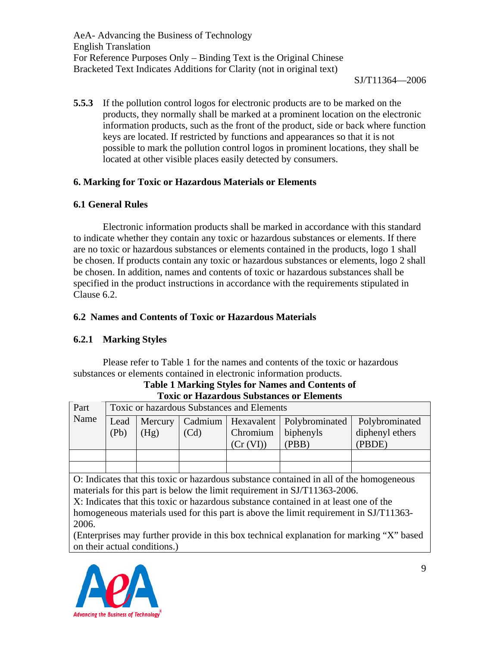SJ/T11364—2006

**5.5.3** If the pollution control logos for electronic products are to be marked on the products, they normally shall be marked at a prominent location on the electronic information products, such as the front of the product, side or back where function keys are located. If restricted by functions and appearances so that it is not possible to mark the pollution control logos in prominent locations, they shall be located at other visible places easily detected by consumers.

# **6. Marking for Toxic or Hazardous Materials or Elements**

# **6.1 General Rules**

 Electronic information products shall be marked in accordance with this standard to indicate whether they contain any toxic or hazardous substances or elements. If there are no toxic or hazardous substances or elements contained in the products, logo 1 shall be chosen. If products contain any toxic or hazardous substances or elements, logo 2 shall be chosen. In addition, names and contents of toxic or hazardous substances shall be specified in the product instructions in accordance with the requirements stipulated in Clause 6.2.

# **6.2 Names and Contents of Toxic or Hazardous Materials**

# **6.2.1 Marking Styles**

Please refer to Table 1 for the names and contents of the toxic or hazardous substances or elements contained in electronic information products. **Table 1 Marking Styles for Names and Contents of** 

| Part                                                                                                                                                                 | <b>Toxic or hazardous Substances and Elements</b> |         |         |            |                |                 |
|----------------------------------------------------------------------------------------------------------------------------------------------------------------------|---------------------------------------------------|---------|---------|------------|----------------|-----------------|
| Name                                                                                                                                                                 | Lead                                              | Mercury | Cadmium | Hexavalent | Polybrominated | Polybrominated  |
|                                                                                                                                                                      | (Pb)                                              | (Hg)    | (Cd)    | Chromium   | biphenyls      | diphenyl ethers |
|                                                                                                                                                                      |                                                   |         |         | (Cr (VI))  | (PBB)          | (PBDE)          |
|                                                                                                                                                                      |                                                   |         |         |            |                |                 |
|                                                                                                                                                                      |                                                   |         |         |            |                |                 |
| O: Indicates that this toxic or hazardous substance contained in all of the homogeneous<br>materials for this part is below the limit requirement in SJ/T11363-2006. |                                                   |         |         |            |                |                 |
| X: Indicates that this toxic or hazardous substance contained in at least one of the                                                                                 |                                                   |         |         |            |                |                 |
| homogeneous materials used for this part is above the limit requirement in SJ/T11363-                                                                                |                                                   |         |         |            |                |                 |
| 2006.                                                                                                                                                                |                                                   |         |         |            |                |                 |
|                                                                                                                                                                      |                                                   |         |         |            |                |                 |

**Toxic or Hazardous Substances or Elements**

(Enterprises may further provide in this box technical explanation for marking "X" based on their actual conditions.)

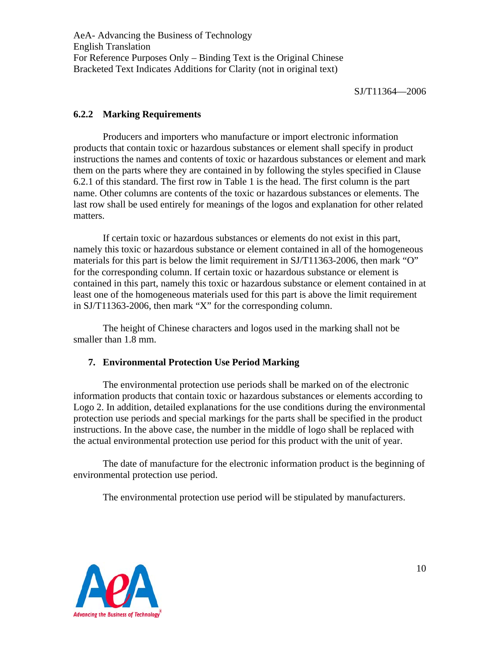SJ/T11364—2006

## **6.2.2 Marking Requirements**

 Producers and importers who manufacture or import electronic information products that contain toxic or hazardous substances or element shall specify in product instructions the names and contents of toxic or hazardous substances or element and mark them on the parts where they are contained in by following the styles specified in Clause 6.2.1 of this standard. The first row in Table 1 is the head. The first column is the part name. Other columns are contents of the toxic or hazardous substances or elements. The last row shall be used entirely for meanings of the logos and explanation for other related matters.

If certain toxic or hazardous substances or elements do not exist in this part, namely this toxic or hazardous substance or element contained in all of the homogeneous materials for this part is below the limit requirement in SJ/T11363-2006, then mark "O" for the corresponding column. If certain toxic or hazardous substance or element is contained in this part, namely this toxic or hazardous substance or element contained in at least one of the homogeneous materials used for this part is above the limit requirement in SJ/T11363-2006, then mark "X" for the corresponding column.

 The height of Chinese characters and logos used in the marking shall not be smaller than 1.8 mm.

## **7. Environmental Protection Use Period Marking**

 The environmental protection use periods shall be marked on of the electronic information products that contain toxic or hazardous substances or elements according to Logo 2. In addition, detailed explanations for the use conditions during the environmental protection use periods and special markings for the parts shall be specified in the product instructions. In the above case, the number in the middle of logo shall be replaced with the actual environmental protection use period for this product with the unit of year.

 The date of manufacture for the electronic information product is the beginning of environmental protection use period.

The environmental protection use period will be stipulated by manufacturers.

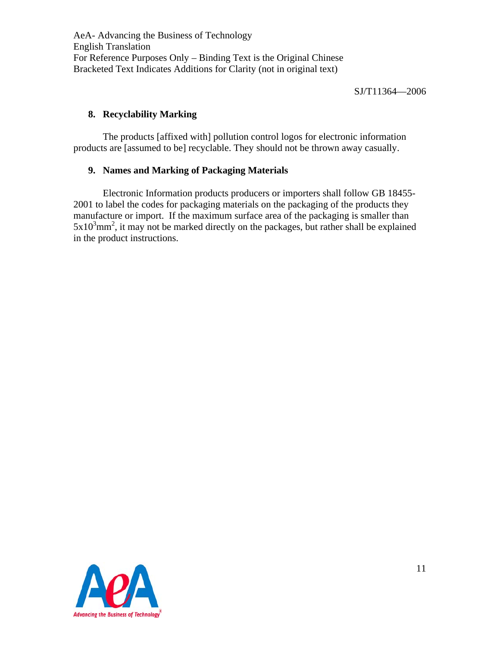SJ/T11364—2006

## **8. Recyclability Marking**

 The products [affixed with] pollution control logos for electronic information products are [assumed to be] recyclable. They should not be thrown away casually.

## **9. Names and Marking of Packaging Materials**

 Electronic Information products producers or importers shall follow GB 18455- 2001 to label the codes for packaging materials on the packaging of the products they manufacture or import. If the maximum surface area of the packaging is smaller than  $5x10<sup>3</sup>$ mm<sup>2</sup>, it may not be marked directly on the packages, but rather shall be explained in the product instructions.

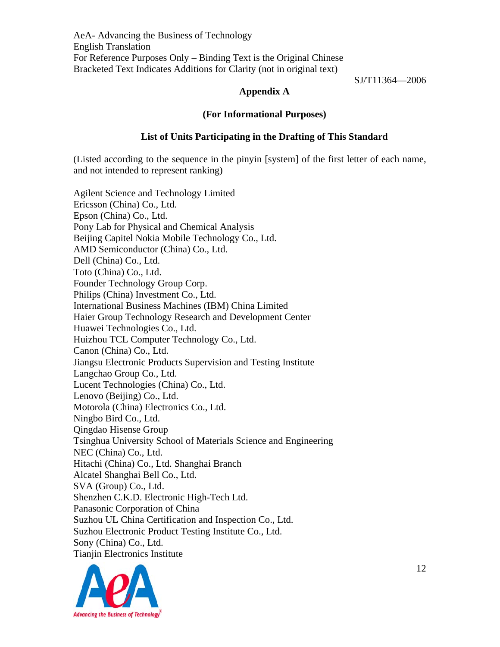SJ/T11364—2006

## **Appendix A**

#### **(For Informational Purposes)**

#### **List of Units Participating in the Drafting of This Standard**

(Listed according to the sequence in the pinyin [system] of the first letter of each name, and not intended to represent ranking)

Agilent Science and Technology Limited Ericsson (China) Co., Ltd. Epson (China) Co., Ltd. Pony Lab for Physical and Chemical Analysis Beijing Capitel Nokia Mobile Technology Co., Ltd. AMD Semiconductor (China) Co., Ltd. Dell (China) Co., Ltd. Toto (China) Co., Ltd. Founder Technology Group Corp. Philips (China) Investment Co., Ltd. International Business Machines (IBM) China Limited Haier Group Technology Research and Development Center Huawei Technologies Co., Ltd. Huizhou TCL Computer Technology Co., Ltd. Canon (China) Co., Ltd. Jiangsu Electronic Products Supervision and Testing Institute Langchao Group Co., Ltd. Lucent Technologies (China) Co., Ltd. Lenovo (Beijing) Co., Ltd. Motorola (China) Electronics Co., Ltd. Ningbo Bird Co., Ltd. Qingdao Hisense Group Tsinghua University School of Materials Science and Engineering NEC (China) Co., Ltd. Hitachi (China) Co., Ltd. Shanghai Branch Alcatel Shanghai Bell Co., Ltd. SVA (Group) Co., Ltd. Shenzhen C.K.D. Electronic High-Tech Ltd. Panasonic Corporation of China Suzhou UL China Certification and Inspection Co., Ltd. Suzhou Electronic Product Testing Institute Co., Ltd. Sony (China) Co., Ltd. Tianjin Electronics Institute

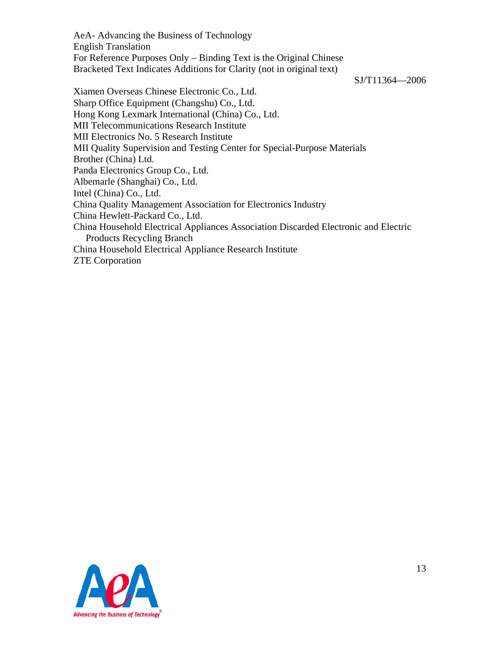SJ/T11364—2006

Xiamen Overseas Chinese Electronic Co., Ltd. Sharp Office Equipment (Changshu) Co., Ltd. Hong Kong Lexmark International (China) Co., Ltd. MII Telecommunications Research Institute MII Electronics No. 5 Research Institute MII Quality Supervision and Testing Center for Special-Purpose Materials Brother (China) Ltd. Panda Electronics Group Co., Ltd. Albemarle (Shanghai) Co., Ltd. Intel (China) Co., Ltd. China Quality Management Association for Electronics Industry China Hewlett-Packard Co., Ltd. China Household Electrical Appliances Association Discarded Electronic and Electric Products Recycling Branch China Household Electrical Appliance Research Institute ZTE Corporation

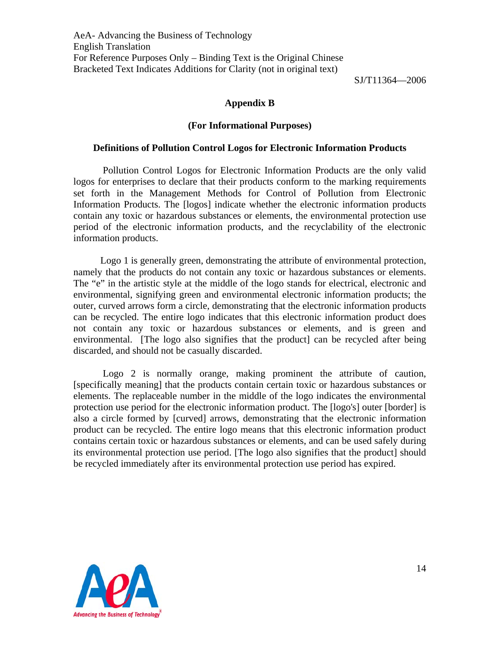SJ/T11364—2006

#### **Appendix B**

#### **(For Informational Purposes)**

#### **Definitions of Pollution Control Logos for Electronic Information Products**

 Pollution Control Logos for Electronic Information Products are the only valid logos for enterprises to declare that their products conform to the marking requirements set forth in the Management Methods for Control of Pollution from Electronic Information Products. The [logos] indicate whether the electronic information products contain any toxic or hazardous substances or elements, the environmental protection use period of the electronic information products, and the recyclability of the electronic information products.

 Logo 1 is generally green, demonstrating the attribute of environmental protection, namely that the products do not contain any toxic or hazardous substances or elements. The "e" in the artistic style at the middle of the logo stands for electrical, electronic and environmental, signifying green and environmental electronic information products; the outer, curved arrows form a circle, demonstrating that the electronic information products can be recycled. The entire logo indicates that this electronic information product does not contain any toxic or hazardous substances or elements, and is green and environmental. [The logo also signifies that the product] can be recycled after being discarded, and should not be casually discarded.

 Logo 2 is normally orange, making prominent the attribute of caution, [specifically meaning] that the products contain certain toxic or hazardous substances or elements. The replaceable number in the middle of the logo indicates the environmental protection use period for the electronic information product. The [logo's] outer [border] is also a circle formed by [curved] arrows, demonstrating that the electronic information product can be recycled. The entire logo means that this electronic information product contains certain toxic or hazardous substances or elements, and can be used safely during its environmental protection use period. [The logo also signifies that the product] should be recycled immediately after its environmental protection use period has expired.